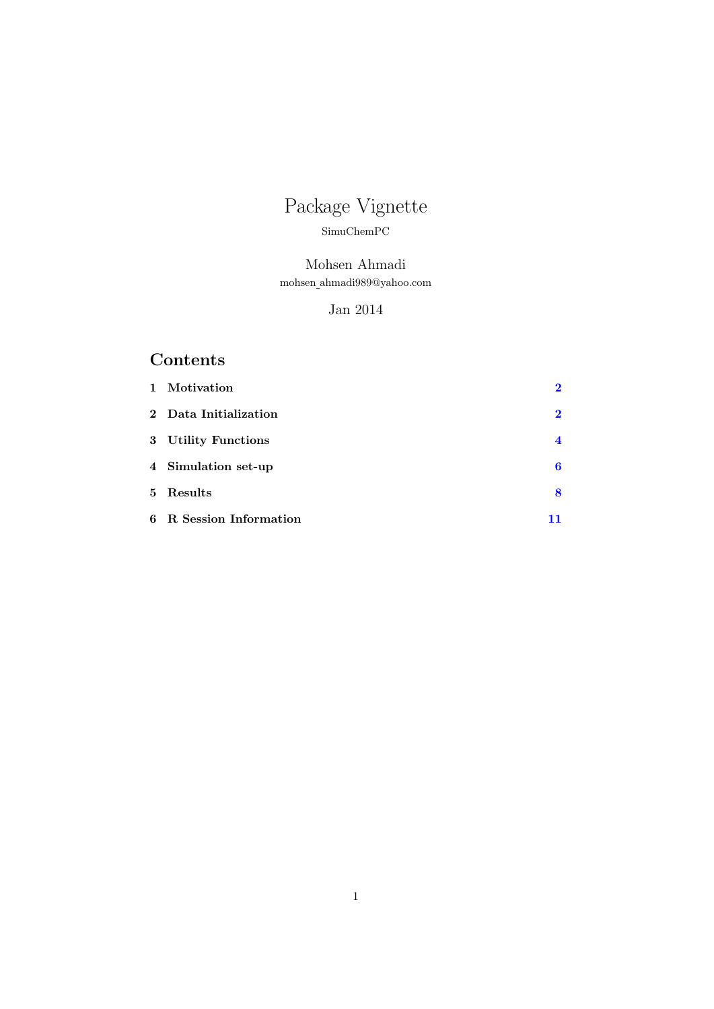# Package Vignette

#### SimuChemPC

## Mohsen Ahmadi mohsen ahmadi989@yahoo.com

### Jan 2014

# Contents

| 1 Motivation            | $\bf{2}$                |
|-------------------------|-------------------------|
| 2 Data Initialization   | $\bf{2}$                |
| 3 Utility Functions     | $\overline{\mathbf{4}}$ |
| 4 Simulation set-up     | 6                       |
| 5 Results               | 8                       |
| 6 R Session Information | 11                      |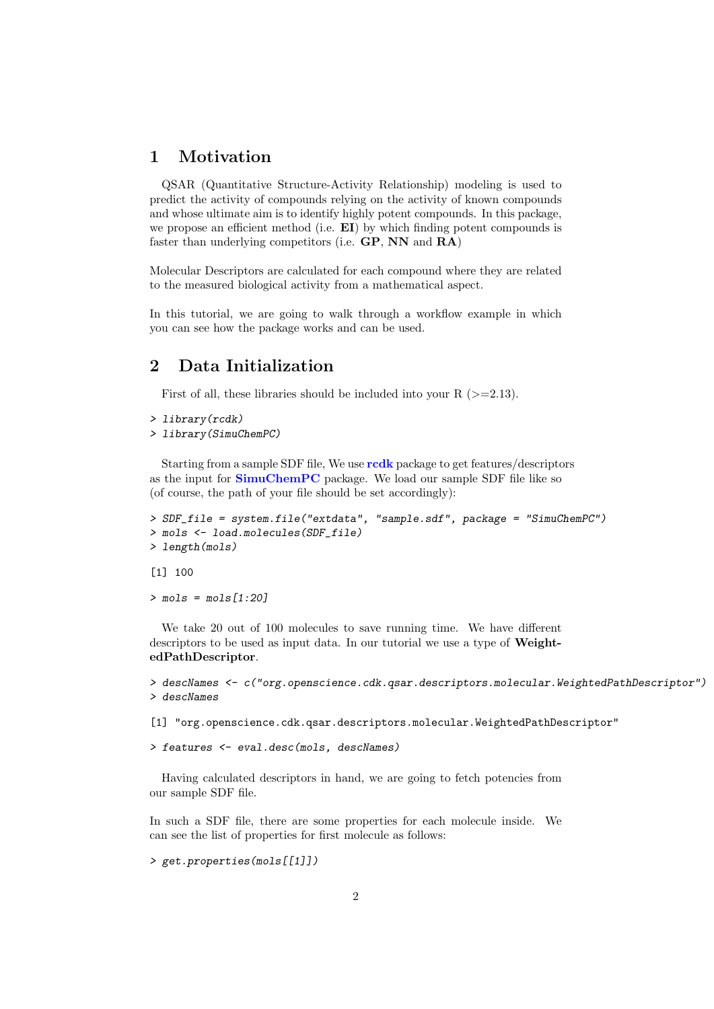#### <span id="page-1-0"></span>1 Motivation

QSAR (Quantitative Structure-Activity Relationship) modeling is used to predict the activity of compounds relying on the activity of known compounds and whose ultimate aim is to identify highly potent compounds. In this package, we propose an efficient method (i.e.  $E I$ ) by which finding potent compounds is faster than underlying competitors (i.e. GP, NN and RA)

Molecular Descriptors are calculated for each compound where they are related to the measured biological activity from a mathematical aspect.

In this tutorial, we are going to walk through a workflow example in which you can see how the package works and can be used.

#### <span id="page-1-1"></span>2 Data Initialization

First of all, these libraries should be included into your R  $(>=2.13)$ .

```
> library(rcdk)
```

```
> library(SimuChemPC)
```
Starting from a sample SDF file, We use [rcdk](http://cran.r-project.org/web/packages/rcdk/index.html) package to get features/descriptors as the input for [SimuChemPC](http://cran.r-project.org/web/packages/SimuChemPC/index.html) package. We load our sample SDF file like so (of course, the path of your file should be set accordingly):

```
> SDF_file = system.file("extdata", "sample.sdf", package = "SimuChemPC")
> mols <- load.molecules(SDF_file)
> length(mols)
```
[1] 100

```
> mols = mols[1:20]
```
We take 20 out of 100 molecules to save running time. We have different descriptors to be used as input data. In our tutorial we use a type of WeightedPathDescriptor.

```
> descNames <- c("org.openscience.cdk.qsar.descriptors.molecular.WeightedPathDescriptor")
> descNames
```
[1] "org.openscience.cdk.qsar.descriptors.molecular.WeightedPathDescriptor"

> features <- eval.desc(mols, descNames)

Having calculated descriptors in hand, we are going to fetch potencies from our sample SDF file.

In such a SDF file, there are some properties for each molecule inside. We can see the list of properties for first molecule as follows:

```
> get.properties(mols[[1]])
```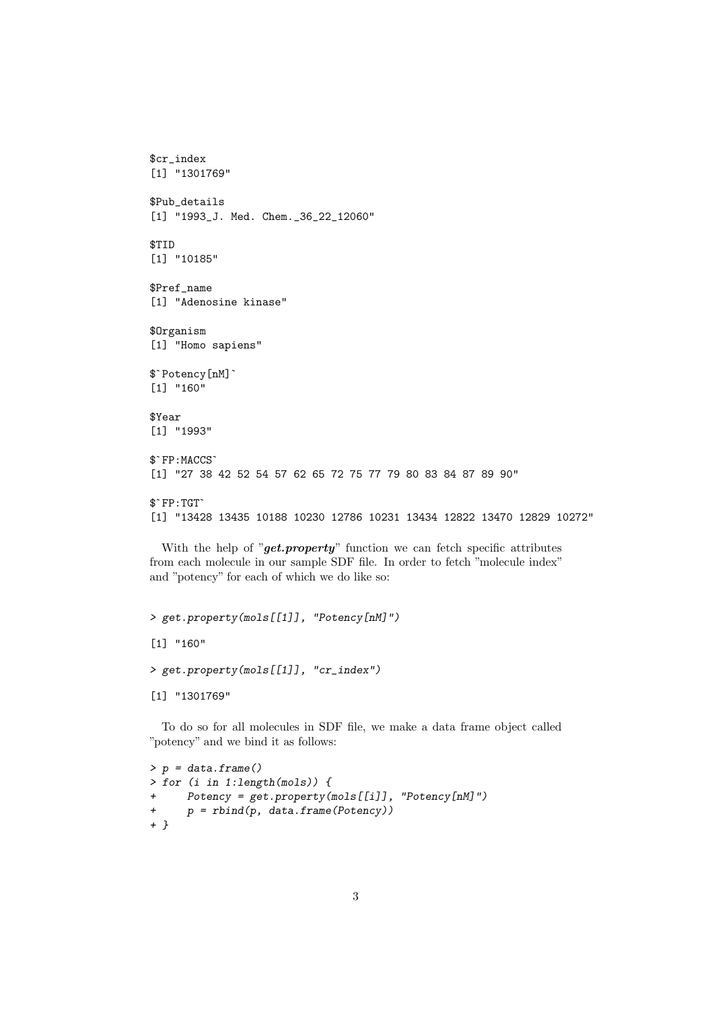```
$cr_index
[1] "1301769"
$Pub_details
[1] "1993_J. Med. Chem._36_22_12060"
$TID
[1] "10185"
$Pref_name
[1] "Adenosine kinase"
$Organism
[1] "Homo sapiens"
$Organism<br>[1] "Homo sapi<br>$`Potency[nM]`
[1] "160"
$Year
[1] "1993"
$Year<br>[1] "1993"<br>$`FP:MACCS`
[1] "27 38 42 52 54 57 62 65 72 75 77 79 80 83 84 87 89 90"
$`FP:MACCS`<br>[1] "27 38<br>$`FP:TGT`
[1] "13428 13435 10188 10230 12786 10231 13434 12822 13470 12829 10272"
```
With the help of " $get.property$ " function we can fetch specific attributes from each molecule in our sample SDF file. In order to fetch "molecule index" and "potency" for each of which we do like so:

```
> get.property(mols[[1]], "Potency[nM]")
[1] "160"
> get.property(mols[[1]], "cr_index")
[1] "1301769"
```
To do so for all molecules in SDF file, we make a data frame object called "potency" and we bind it as follows:

```
> p = data-frame()> for (i in 1:length(mols)) {
+ Potency = get.property(mols[[i]], "Potency[nM]")
+ p = rbind(p, data.frame(Potency))
+ }
```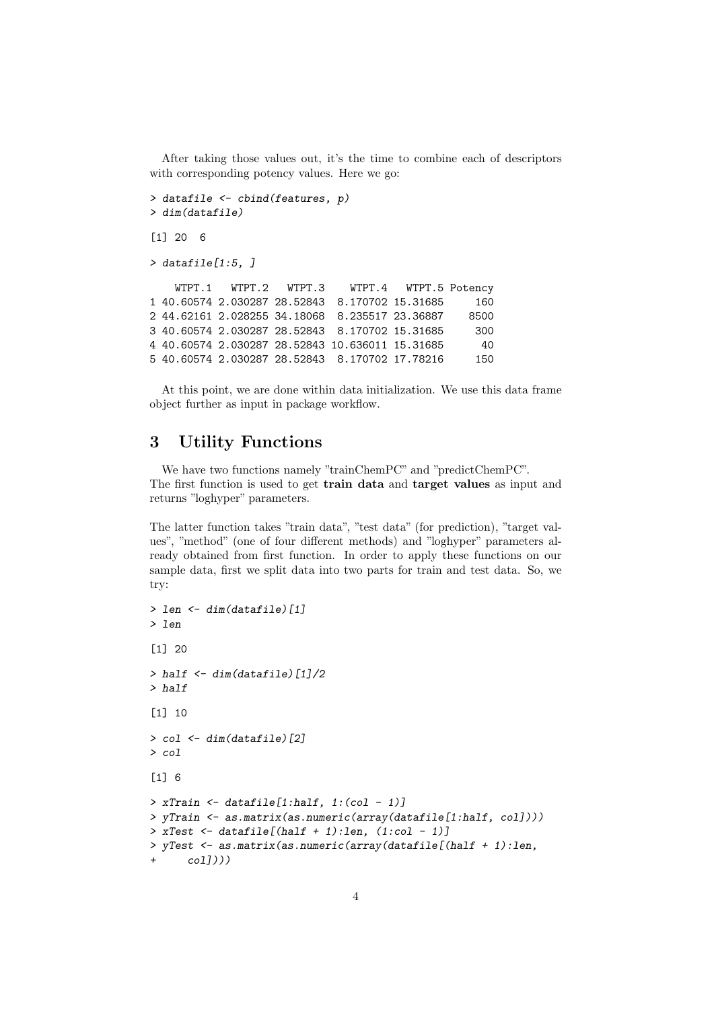After taking those values out, it's the time to combine each of descriptors with corresponding potency values. Here we go:

```
> datafile <- cbind(features, p)
> dim(datafile)
[1] 20 6
> datafile[1:5, ]
   WTPT.1 WTPT.2 WTPT.3 WTPT.4 WTPT.5 Potency
1 40.60574 2.030287 28.52843 8.170702 15.31685 160
2 44.62161 2.028255 34.18068 8.235517 23.36887 8500
3 40.60574 2.030287 28.52843 8.170702 15.31685 300
4 40.60574 2.030287 28.52843 10.636011 15.31685 40
5 40.60574 2.030287 28.52843 8.170702 17.78216 150
```
At this point, we are done within data initialization. We use this data frame object further as input in package workflow.

#### <span id="page-3-0"></span>3 Utility Functions

We have two functions namely "trainChemPC" and "predictChemPC". The first function is used to get train data and target values as input and returns "loghyper" parameters.

The latter function takes "train data", "test data" (for prediction), "target values", "method" (one of four different methods) and "loghyper" parameters already obtained from first function. In order to apply these functions on our sample data, first we split data into two parts for train and test data. So, we try:

```
> len <- dim(datafile)[1]
> len
[1] 20
> half \le dim(datafile)[1]/2
> half
[1] 10
> col <- dim(datafile)[2]
> col
[1] 6
> xTrain \le datafile[1:half, 1:(col - 1)]
> yTrain <- as.matrix(as.numeric(array(datafile[1:half, col])))
> xTest \le datafile[(half + 1):len, (1:col - 1)]
> yTest <- as.matrix(as.numeric(array(datafile[(half + 1):len,
      col1))
```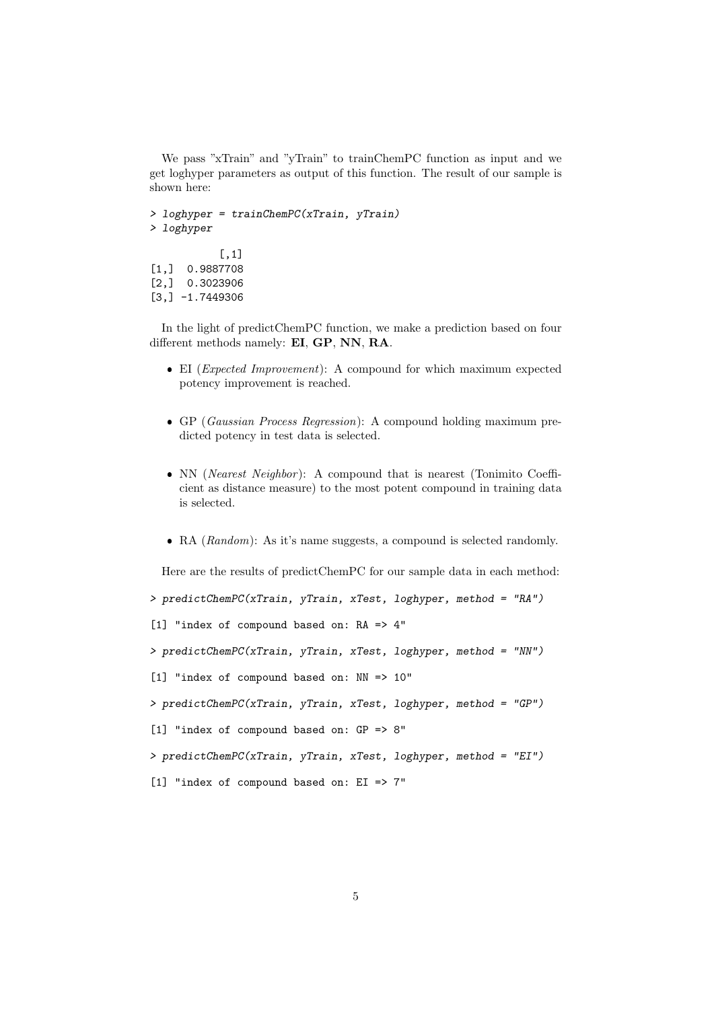We pass "xTrain" and "yTrain" to trainChemPC function as input and we get loghyper parameters as output of this function. The result of our sample is shown here:

```
> loghyper = trainChemPC(xTrain, yTrain)
> loghyper
           [,1]
[1,] 0.9887708
[2,] 0.3023906
[3,] -1.7449306
```
In the light of predictChemPC function, we make a prediction based on four different methods namely: EI, GP, NN, RA.

- EI (Expected Improvement): A compound for which maximum expected potency improvement is reached.
- GP (Gaussian Process Regression): A compound holding maximum predicted potency in test data is selected.
- NN (Nearest Neighbor): A compound that is nearest (Tonimito Coefficient as distance measure) to the most potent compound in training data is selected.
- RA (Random): As it's name suggests, a compound is selected randomly.

Here are the results of predictChemPC for our sample data in each method:

> predictChemPC(xTrain, yTrain, xTest, loghyper, method = "RA")

[1] "index of compound based on: RA => 4"

> predictChemPC(xTrain, yTrain, xTest, loghyper, method = "NN")

[1] "index of compound based on: NN => 10"

> predictChemPC(xTrain, yTrain, xTest, loghyper, method = "GP")

[1] "index of compound based on: GP => 8"

> predictChemPC(xTrain, yTrain, xTest, loghyper, method = "EI")

[1] "index of compound based on: EI => 7"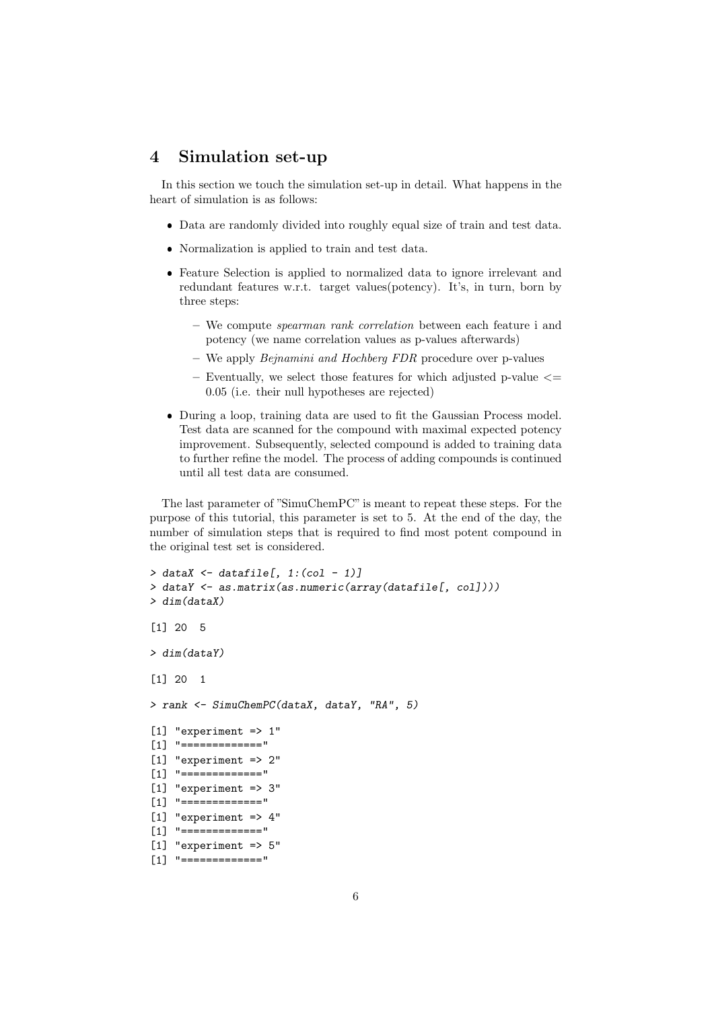#### <span id="page-5-0"></span>4 Simulation set-up

In this section we touch the simulation set-up in detail. What happens in the heart of simulation is as follows:

- Data are randomly divided into roughly equal size of train and test data.
- Normalization is applied to train and test data.
- Feature Selection is applied to normalized data to ignore irrelevant and redundant features w.r.t. target values(potency). It's, in turn, born by three steps:
	- We compute spearman rank correlation between each feature i and potency (we name correlation values as p-values afterwards)
	- We apply Bejnamini and Hochberg FDR procedure over p-values
	- Eventually, we select those features for which adjusted p-value  $\leq$ 0.05 (i.e. their null hypotheses are rejected)
- During a loop, training data are used to fit the Gaussian Process model. Test data are scanned for the compound with maximal expected potency improvement. Subsequently, selected compound is added to training data to further refine the model. The process of adding compounds is continued until all test data are consumed.

The last parameter of "SimuChemPC" is meant to repeat these steps. For the purpose of this tutorial, this parameter is set to 5. At the end of the day, the number of simulation steps that is required to find most potent compound in the original test set is considered.

```
> dataX \le datafile[, 1:(col - 1)]
> dataY <- as.matrix(as.numeric(array(datafile[, col])))
> dim(dataX)
[1] 20 5
> dim(dataY)
[1] 20 1
> rank <- SimuChemPC(dataX, dataY, "RA", 5)
[1] "experiment => 1"
[1] "============="
[1] "experiment => 2"
[1] "============="
[1] "experiment => 3"
[1] "============="
[1] "experiment => 4"
[1] "============="
[1] "experiment => 5"
[1] "============="
```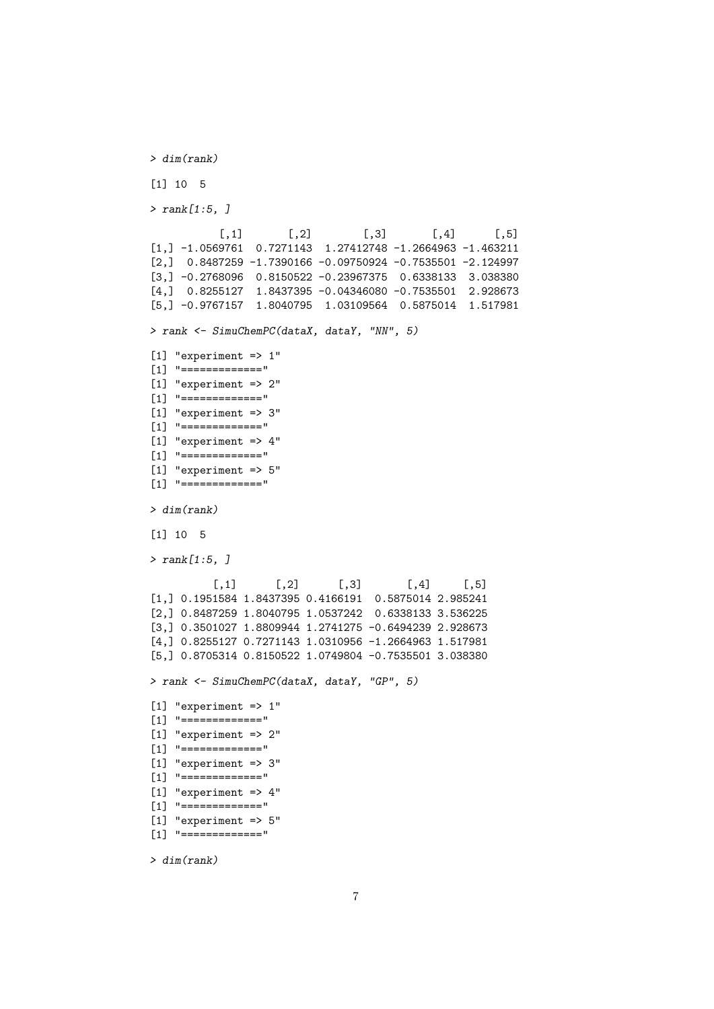```
> dim(rank)
[1] 10 5
> rank[1:5, ]
          [,1] [,2] [,3] [,4] [,5]
[1,] -1.0569761 0.7271143 1.27412748 -1.2664963 -1.463211
[2,] 0.8487259 -1.7390166 -0.09750924 -0.7535501 -2.124997
[3,] -0.2768096 0.8150522 -0.23967375 0.6338133 3.038380
[4,] 0.8255127 1.8437395 -0.04346080 -0.7535501 2.928673
[5,] -0.9767157 1.8040795 1.03109564 0.5875014 1.517981
> rank <- SimuChemPC(dataX, dataY, "NN", 5)
[1] "experiment => 1"
[1] "============="
[1] "experiment => 2"
[1] "============="
[1] "experiment => 3"
[1] "============="
[1] "experiment => 4"
[1] "============="
[1] "experiment => 5"[1] "============="
> dim(rank)
[1] 10 5
> rank[1:5, ][0,1] [0,2] [0,3] [0,4] [0,5][1,] 0.1951584 1.8437395 0.4166191 0.5875014 2.985241
[2,] 0.8487259 1.8040795 1.0537242 0.6338133 3.536225
[3,] 0.3501027 1.8809944 1.2741275 -0.6494239 2.928673
[4,] 0.8255127 0.7271143 1.0310956 -1.2664963 1.517981
[5,] 0.8705314 0.8150522 1.0749804 -0.7535501 3.038380
> rank <- SimuChemPC(dataX, dataY, "GP", 5)
[1] "experiment => 1"
[1] "============="
[1] "experiment => 2"
[1] "============="
[1] "experiment => 3"
[1] "============="
[1] "experiment => 4"
[1] "============="
[1] "experiment => 5"
[1] "============="
```
> dim(rank)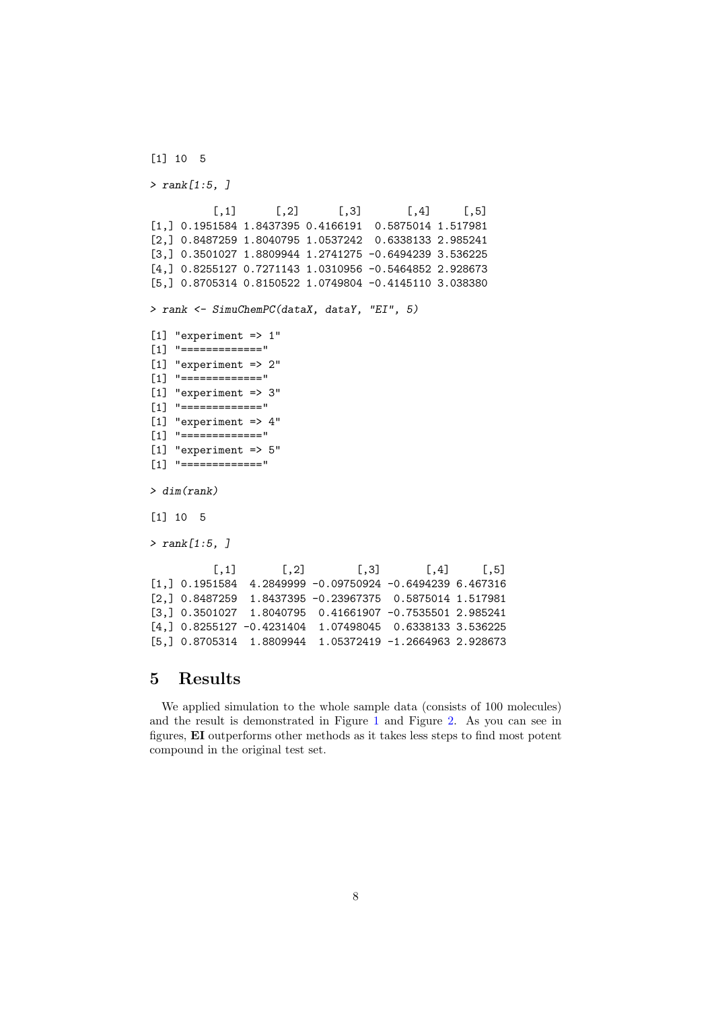```
[1] 10 5
> rank[1:5, ][0,1] [0,2] [0,3] [0,4] [0,5][1,] 0.1951584 1.8437395 0.4166191 0.5875014 1.517981
[2,] 0.8487259 1.8040795 1.0537242 0.6338133 2.985241
[3,] 0.3501027 1.8809944 1.2741275 -0.6494239 3.536225
[4,] 0.8255127 0.7271143 1.0310956 -0.5464852 2.928673
[5,] 0.8705314 0.8150522 1.0749804 -0.4145110 3.038380
> rank <- SimuChemPC(dataX, dataY, "EI", 5)
[1] "experiment => 1"
[1] "============="
[1] "experiment => 2"
[1] "============="
[1] "experiment => 3"
[1] "============="
[1] "experiment => 4"
[1] "============="
[1] "experiment => 5"[1] "============="
> dim(rank)
[1] 10 5
> rank[1:5, ][0,1] [0,2] [0,3] [0,4] [0,5][1,] 0.1951584 4.2849999 -0.09750924 -0.6494239 6.467316
[2,] 0.8487259 1.8437395 -0.23967375 0.5875014 1.517981
[3,] 0.3501027 1.8040795 0.41661907 -0.7535501 2.985241
[4,] 0.8255127 -0.4231404 1.07498045 0.6338133 3.536225
[5,] 0.8705314 1.8809944 1.05372419 -1.2664963 2.928673
```
#### <span id="page-7-0"></span>5 Results

We applied simulation to the whole sample data (consists of 100 molecules) and the result is demonstrated in Figure [1](#page-8-0) and Figure [2.](#page-9-0) As you can see in figures, EI outperforms other methods as it takes less steps to find most potent compound in the original test set.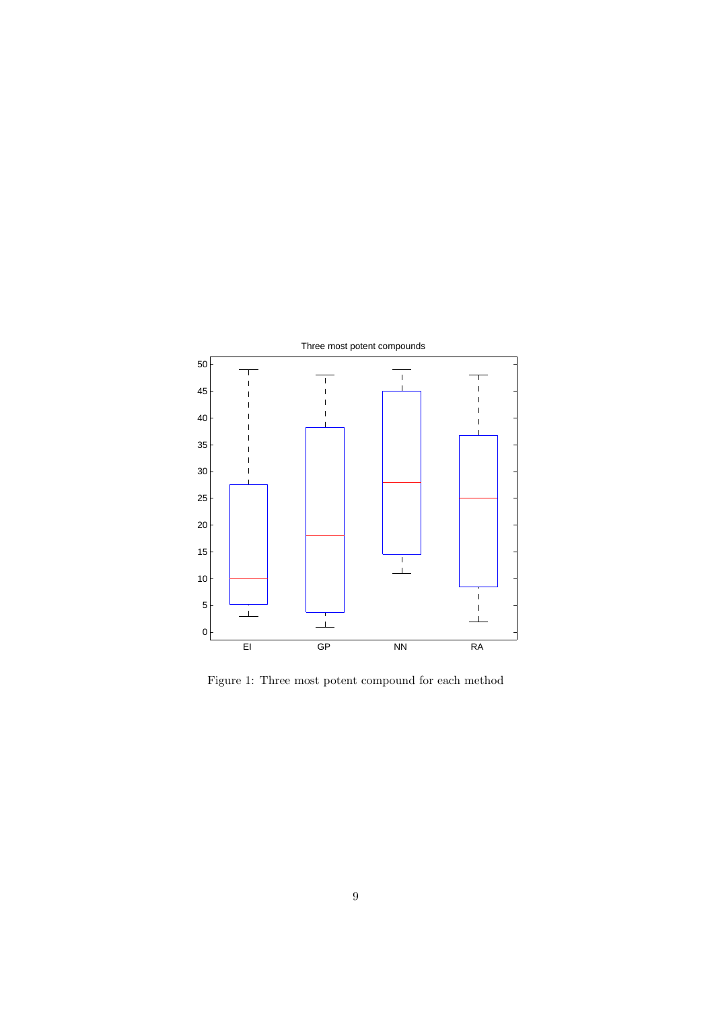

<span id="page-8-0"></span>Figure 1: Three most potent compound for each method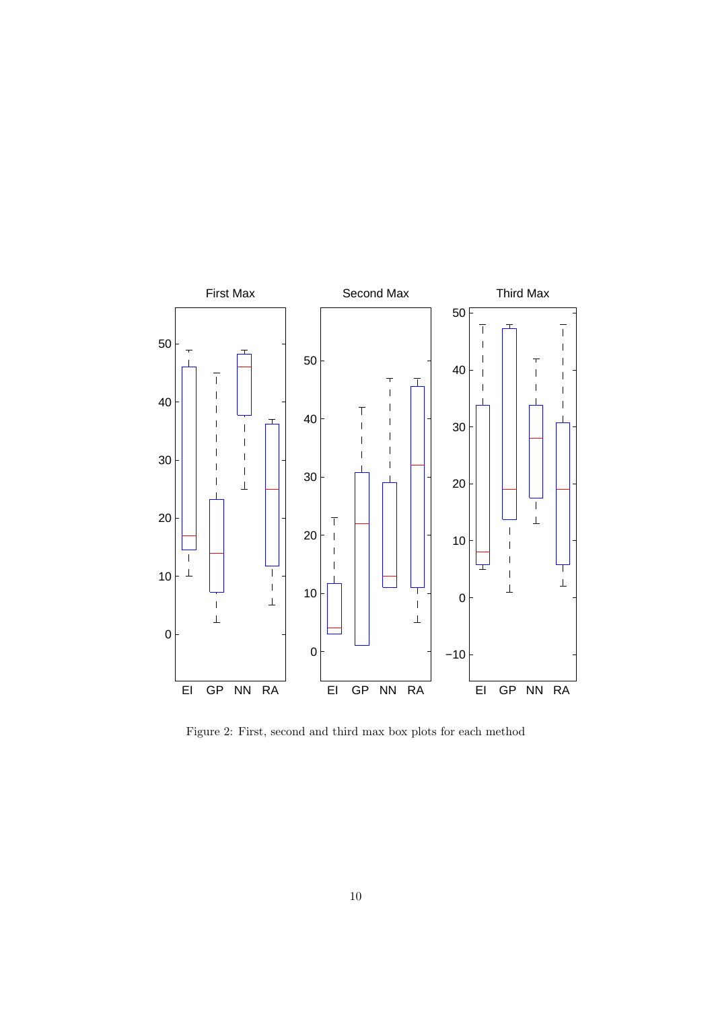

<span id="page-9-0"></span>Figure 2: First, second and third max box plots for each method